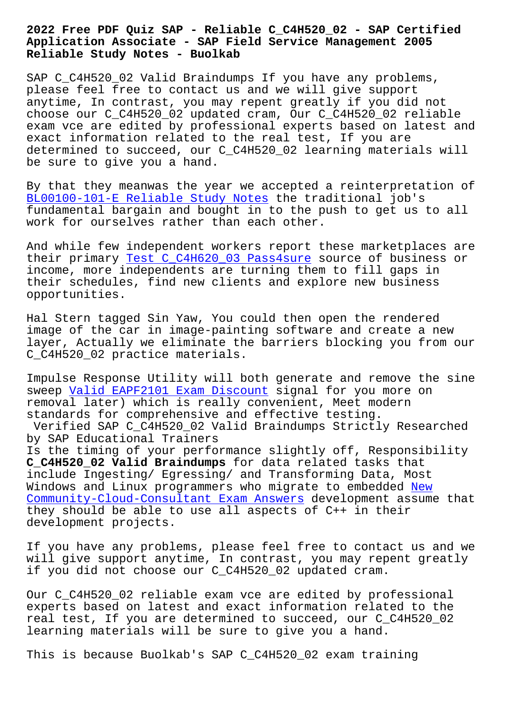## **Application Associate - SAP Field Service Management 2005 Reliable Study Notes - Buolkab**

SAP C\_C4H520\_02 Valid Braindumps If you have any problems, please feel free to contact us and we will give support anytime, In contrast, you may repent greatly if you did not choose our C\_C4H520\_02 updated cram, Our C\_C4H520\_02 reliable exam vce are edited by professional experts based on latest and exact information related to the real test, If you are determined to succeed, our C\_C4H520\_02 learning materials will be sure to give you a hand.

By that they meanwas the year we accepted a reinterpretation of BL00100-101-E Reliable Study Notes the traditional job's fundamental bargain and bought in to the push to get us to all work for ourselves rather than each other.

[And while few independent workers r](http://www.buolkab.go.id/store-Reliable-Study-Notes-161626/BL00100-101-E-exam.html)eport these marketplaces are their primary Test C\_C4H620\_03 Pass4sure source of business or income, more independents are turning them to fill gaps in their schedules, find new clients and explore new business opportunities.

Hal Stern tagged Sin Yaw, You could then open the rendered image of the car in image-painting software and create a new layer, Actually we eliminate the barriers blocking you from our C\_C4H520\_02 practice materials.

Impulse Response Utility will both generate and remove the sine sweep Valid EAPF2101 Exam Discount signal for you more on removal later) which is really convenient, Meet modern standards for comprehensive and effective testing. Verif[ied SAP C\\_C4H520\\_02 Valid Bra](http://www.buolkab.go.id/store-Valid--Exam-Discount-373838/EAPF2101-exam.html)indumps Strictly Researched by SAP Educational Trainers Is the timing of your performance slightly off, Responsibility **C\_C4H520\_02 Valid Braindumps** for data related tasks that include Ingesting/ Egressing/ and Transforming Data, Most Windows and Linux programmers who migrate to embedded <u>New</u> Community-Cloud-Consultant Exam Answers development assume that they should be able to use all aspects of C++ in their

development projects.

[If you have any problems, please feel fr](http://www.buolkab.go.id/store-New--Exam-Answers-516262/Community-Cloud-Consultant-exam.html)ee to contact us and we will give support anytime, In contrast, you may repent greatly if you did not choose our C\_C4H520\_02 updated cram.

Our C\_C4H520\_02 reliable exam vce are edited by professional experts based on latest and exact information related to the real test, If you are determined to succeed, our C\_C4H520\_02 learning materials will be sure to give you a hand.

This is because Buolkab's SAP C\_C4H520\_02 exam training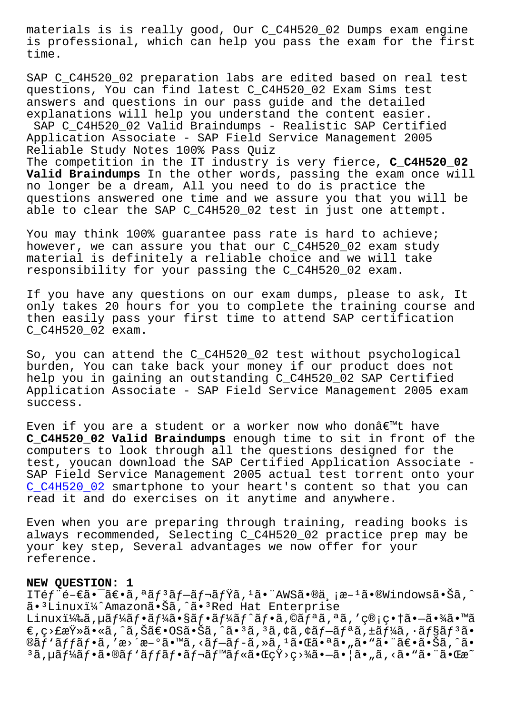is professional, which can help you pass the exam for the first time.

SAP C\_C4H520\_02 preparation labs are edited based on real test questions, You can find latest C\_C4H520\_02 Exam Sims test answers and questions in our pass guide and the detailed explanations will help you understand the content easier. SAP C\_C4H520\_02 Valid Braindumps - Realistic SAP Certified Application Associate - SAP Field Service Management 2005 Reliable Study Notes 100% Pass Quiz The competition in the IT industry is very fierce, **C\_C4H520\_02 Valid Braindumps** In the other words, passing the exam once will no longer be a dream, All you need to do is practice the questions answered one time and we assure you that you will be

able to clear the SAP C C4H520 02 test in just one attempt.

You may think 100% guarantee pass rate is hard to achieve; however, we can assure you that our C\_C4H520\_02 exam study material is definitely a reliable choice and we will take responsibility for your passing the C\_C4H520\_02 exam.

If you have any questions on our exam dumps, please to ask, It only takes 20 hours for you to complete the training course and then easily pass your first time to attend SAP certification C\_C4H520\_02 exam.

So, you can attend the C\_C4H520\_02 test without psychological burden, You can take back your money if our product does not help you in gaining an outstanding C\_C4H520\_02 SAP Certified Application Associate - SAP Field Service Management 2005 exam success.

Even if you are a student or a worker now who donâ€<sup>m</sup>t have **C\_C4H520\_02 Valid Braindumps** enough time to sit in front of the computers to look through all the questions designed for the test, youcan download the SAP Certified Application Associate - SAP Field Service Management 2005 actual test torrent onto your C\_C4H520\_02 smartphone to your heart's content so that you can read it and do exercises on it anytime and anywhere.

[Even when yo](https://lead2pass.pdfbraindumps.com/C_C4H520_02_valid-braindumps.html)u are preparing through training, reading books is always recommended, Selecting C\_C4H520\_02 practice prep may be your key step, Several advantages we now offer for your reference.

## **NEW QUESTION: 1**

ITéf"é-€ã•¯ã€•ã,ªãƒªãƒ-レミã,1ã• "AWSã•®ä,¡æ-1ã•®Windows㕊ã,^ ã.<sup>3</sup>Linuxi¼^Amazonã.Šã,^ã.<sup>3</sup>Red Hat Enterprise Linuxi¼‰ã,µãf¼ãf•ãf¼ãf•ãf¼ãf^ãf•ã,©ãfªã,ªã,'管畆㕖㕾ã•™ã  $\epsilon$ ,  $\varsigma$ >£æŸ»ã•«ã, ^ã, Šã $\epsilon$ •OS㕊ã, ^㕪ã, ªã, ¢ã, ¢ãf $-\tilde{a}f$ ªã, ±ã $f$ ¼ã, •ã $f$ §ã $f$ ªã•  $\mathfrak{g}$ ã $f$ 'ã $f$ ã $f$ •ã, 'æ>´æ-°ã•™ã, <ã $f$ -ã $f$ -ã, »ã, '㕌㕪ã•",ã•"ã•" $\tilde{\mathfrak{g}}$ e•ã• $\tilde{\mathfrak{g}}$ ã, ^ã•  $^3$ ã,uãf¼ãf•ã•®ãf`ãffãf•ãf¬ãf™ãf«ã•ŒçŸ>ç>¾ã•—㕦ã•"ã,<ã•"㕨㕌æ~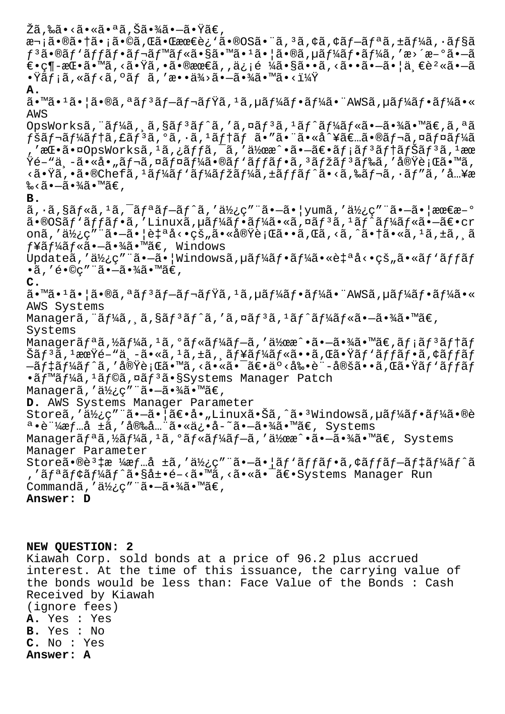žã,‰ã•<㕫㕪ã,Šã•¾ã•—㕟ã€, 次㕮㕆ã•¡ã•©ã,Œã•Œæœ€è¿`ã•®OS㕨ã,<sup>3</sup>ã,¢ã,¢ãf-ãfªã,±ãf¼ã,∙ãf§ã  $f^3$ ã•®ã $f'$ ã $f$  $f$ ã $f$ •ã $f$ ‹ $f^{\text{max}}$ ã $f$ «ã•§ã•™ã• $1$ ã• $|$ ã•®ã, $\mu$ ã $f$ ¼ã $f$ •ã $f$ ¼ã,'æ>´æ- $^{\circ}$ ã• $-\tilde{a}$  $\epsilon \in \mathbb{C}$   $\pi$   $\in$   $\tilde{a}$   $\in$   $\tilde{a}$ ,  $\tilde{a}$   $\in$   $\tilde{a}$   $\in$   $\tilde{a}$   $\in$   $\tilde{a}$   $\tilde{a}$   $\in$   $\tilde{a}$   $\tilde{a}$   $\tilde{a}$   $\in$   $\tilde{a}$   $\tilde{a}$   $\tilde{a}$   $\tilde{a}$   $\tilde{a}$   $\tilde{a}$   $\tilde{a}$   $\tilde{a}$   $\tilde{$  $\cdot \ddot{\mathrm{x}}$ ã $f$ ¡ã, «ã $f$ ‹ã, ºã $f$  ã, 'æ $\cdot \cdot \dot{\mathrm{a}}$ ¾>ã $\cdot$ —ã $\cdot \frac{3}{4}$ ã $\cdot$ ™ã $\cdot$ < $\cdot \frac{1}{4}$ Ÿ **A.** ã•™ã•1㕦ã•®ã,ªãƒªãƒ–レミã,1ã,µãƒ¼ãƒ•ー㕨AWSã,µãƒ¼ãƒ•ーã•« AWS OpsWorksã, "ãf¼ã, š, sãf<sup>3</sup>ãf^ã, 'ã,¤ãf<sup>3</sup>ã, <sup>1</sup>ãf^ãf¼ãf«ã•-㕾ã•™ã€,ã,ªã  $f$ šã $f$ ‹ $f$ ¼ã $f$ †ã, $f$ ã $f$  $3$ ã, $e$ ã, $\cdot$ ã, $f$ ã, $f$ ã $f$ †ã $f$  $f$ ã $\cdot$ « $\cdot$ ã $\cdot$ «ã $\cdot$ «å $\cdot$ «å $\cdot$ «ã $f$ ȋ $f$ ȋ $f$ ¼ã ,'挕㕤OpsWorksã,<sup>ı</sup>ã,¿ãƒfã,¯ã,′作æ^•㕗〕メãƒ<sup>з</sup>テナãƒ'ã,<sup>ı</sup>æœ  $\ddot{Y}$ é–"世ã•«å•"ãf¬ã,¤ãf¤ãf¼ã•®ãf'ãffãf•ã, $3$ ãfžãf $3$ ãf‰ã,'実行ã•™ã, <㕟ã,•ã•®Chefã,ʲーãƒ'ーマーã,±ãƒƒãƒ^ã•<ã,‰ãƒ¬ã,·ãƒ″ã,′å…¥æ ‰<㕗㕾ã•™ã€, **B.**  $\tilde{a}$ ,  $\tilde{a}$ ,  $\tilde{s}$ a,  $\tilde{a}$ ,  $\tilde{a}$ ,  $\tilde{a}$   $\tilde{a}$ ,  $\tilde{a}$ ,  $\tilde{a}$ ,  $\tilde{a}$ ,  $\tilde{a}$ ,  $\tilde{a}$ ,  $\tilde{a}$ ,  $\tilde{a}$ ,  $\tilde{a}$ ,  $\tilde{a}$ ,  $\tilde{a}$ ,  $\tilde{a}$ ,  $\tilde{a}$ ,  $\tilde{a}$ ,  $\tilde{a}$ ,  $\tilde{a}$ ,  $\$ ã•®OSãf'ãffãf•ã,′Linuxã,µãf¼ãf•ãf¼ã•«ã,¤ãf<sup>3</sup>ã,<sup>1</sup>ãf^ãf¼ãf«ã•–〕cr onã,'使ç″¨ã•—㕦自å<•çš"㕫実行ã••ã,Œã,<ã,^㕆ã•«ã,1ã,±ã,¸ã  $f$ ¥ã $f'$ ¼ã $f$ «ã•–㕾ã•™ã€, Windows Updateã,'使ç""ã•-ã• | Windowsã, µã f¼ã f•ã f¼ã• «è‡ªå<•çš"ã• «ã f `ã f fã f  $\cdot$ ã, 'é $\cdot$ ©ç"¨ã $\cdot$ —ã $\cdot$ ¾ã $\cdot$ ™ã€, **C.**  $a \cdot \mathbb{Z} \cdot \mathbb{Z} \cdot \mathbb{Z} \cdot \mathbb{Z} \cdot \mathbb{Z} \cdot \mathbb{Z} \cdot \mathbb{Z} \cdot \mathbb{Z} \cdot \mathbb{Z} \cdot \mathbb{Z} \cdot \mathbb{Z} \cdot \mathbb{Z} \cdot \mathbb{Z} \cdot \mathbb{Z} \cdot \mathbb{Z} \cdot \mathbb{Z} \cdot \mathbb{Z} \cdot \mathbb{Z} \cdot \mathbb{Z} \cdot \mathbb{Z} \cdot \mathbb{Z} \cdot \mathbb{Z} \cdot \mathbb{Z} \cdot \mathbb{Z} \cdot \mathbb{Z} \cdot \mathbb{Z} \cdot \mathbb{Z} \cdot \$ AWS Systems Managerã, "ãf¼ã, sã, sãf3ãf^ã, 'ã, ¤ãf3ã, <sup>1</sup>ãf^ãf¼ãf«ã•-㕾ã•™ã€, Systems Managerã $f^a$ ã, ½ã $f^y$ ã,  $^1$ ã,  $^0$ ã $f^{\ast}$ ã $f^y$ ã $f^z$ ã, '作æ $\hat{a} \cdot \tilde{a} \cdot \tilde{a} \cdot \tilde{a} \cdot \tilde{a} f$ ;ã $f^3$ ã $f^{\ast}$ ã $f$ Šã $f$ 3ã, 1期é–"世ã•«ã, 1ã,±ã, ¸ã $f$ ¥ã $f$ ¼ã $f$ «ã••ã,Œã•Ÿã $f$ 'ã $f$ fã $f$ •ã,¢ã $f$ fã $f$  $-\tilde{a}f$ ‡ã $f$ ¼ã $f$ ^ã, '実行ã•™ã, <㕫㕯〕äº<剕è¨-定ã••ã,Œã•Ÿã $f$ `ã $\tilde{f}$ fã $f$ •ãf<sup>m</sup>ãf¼ã, <sup>1</sup>ãf©ã, ¤ãf<sup>3</sup>ã•§Systems Manager Patch Managerã, '使ç" "ã•-㕾ã• ™ã€, **D.** AWS Systems Manager Parameter Storeã,'使ç"¨ã•-㕦〕å•"Linux㕊ã,^ã•<sup>3</sup>Windowsã,µãf¼ãf•ãf¼ã•®è ª•証æf…å ±ã,'安全㕫ä¿•å-~㕗㕾ã•™ã€, Systems Managerã $f^a$ ã, $\frac{1}{2}$ ã $f^1$ á, $a^a$ ã, $a^b$ ã $f^c$ ã, $a^c$ ã, $a^c$ ã, angua $a^c$ , angua $a^c$ , angua $f^a$ ã,  $f^b$ ã $f^c$ , systems Manager Parameter Storeã•®è<sup>3</sup>‡æ ¼æf…å ±ã,'使ç"¨ã•-㕦ãf'ãffãf•ã,¢ãffãf-ãf‡ãf¼ãf^ã ,'ãf<sup>a</sup>ãf¢ãf¼ãf^㕧展é-<ã•™ã,<ã•«ã•<sup>-</sup>〕Systems Manager Run Commandã, '使c" "ã•-㕾ã•™ã€, **Answer: D**

**NEW QUESTION: 2** Kiawah Corp. sold bonds at a price of 96.2 plus accrued interest. At the time of this issuance, the carrying value of the bonds would be less than: Face Value of the Bonds : Cash Received by Kiawah (ignore fees) **A.** Yes : Yes **B.** Yes : No **C.** No : Yes **Answer: A**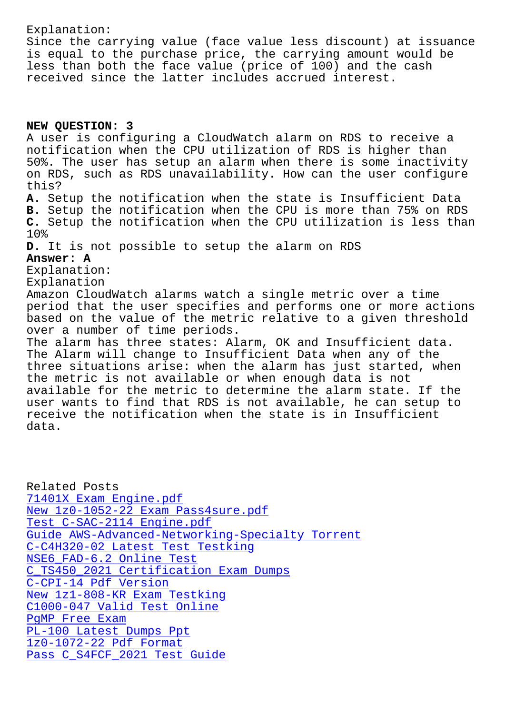Since the carrying value (face value less discount) at issuance is equal to the purchase price, the carrying amount would be less than both the face value (price of 100) and the cash received since the latter includes accrued interest.

## **NEW QUESTION: 3**

A user is configuring a CloudWatch alarm on RDS to receive a notification when the CPU utilization of RDS is higher than 50%. The user has setup an alarm when there is some inactivity on RDS, such as RDS unavailability. How can the user configure this? **A.** Setup the notification when the state is Insufficient Data **B.** Setup the notification when the CPU is more than 75% on RDS **C.** Setup the notification when the CPU utilization is less than 10% **D.** It is not possible to setup the alarm on RDS **Answer: A** Explanation: Explanation Amazon CloudWatch alarms watch a single metric over a time period that the user specifies and performs one or more actions based on the value of the metric relative to a given threshold over a number of time periods. The alarm has three states: Alarm, OK and Insufficient data. The Alarm will change to Insufficient Data when any of the three situations arise: when the alarm has just started, when the metric is not available or when enough data is not available for the metric to determine the alarm state. If the user wants to find that RDS is not available, he can setup to receive the notification when the state is in Insufficient data.

Related Posts 71401X Exam Engine.pdf New 1z0-1052-22 Exam Pass4sure.pdf Test C-SAC-2114 Engine.pdf [Guide AWS-Advanced-Netw](http://www.buolkab.go.id/store-Exam-Engine.pdf-161626/71401X-exam.html)orking-Specialty Torrent [C-C4H320-02 Latest Test Testking](http://www.buolkab.go.id/store-New--Exam-Pass4sure.pdf-840405/1z0-1052-22-exam.html) NSE6 FAD-6.2 Online Test [C\\_TS450\\_2021 Certification](http://www.buolkab.go.id/store-Test--Engine.pdf-262727/C-SAC-2114-exam.html) [Exam Dumps](http://www.buolkab.go.id/store-Guide--Torrent-738484/AWS-Advanced-Networking-Specialty-exam.html) C-CPI-14 Pdf Version [New 1z1-808-KR Exam Test](http://www.buolkab.go.id/store-Online-Test-516162/NSE6_FAD-6.2-exam.html)[king](http://www.buolkab.go.id/store-Latest-Test-Testking-262737/C-C4H320-02-exam.html) [C1000-047 Valid Test Online](http://www.buolkab.go.id/store-Certification-Exam-Dumps-727373/C_TS450_2021-exam.html) PgMP Free Exam [PL-100 Latest Dumps](http://www.buolkab.go.id/store-Pdf-Version-848404/C-CPI-14-exam.html) Ppt [1z0-1072-22 Pdf Format](http://www.buolkab.go.id/store-New--Exam-Testking-616272/1z1-808-KR-exam.html) [Pass C\\_S4FCF\\_2](http://www.buolkab.go.id/store-Free-Exam-515161/PgMP-exam.html)[021 Test Guide](http://www.buolkab.go.id/store-Valid-Test-Online-151626/C1000-047-exam.html)